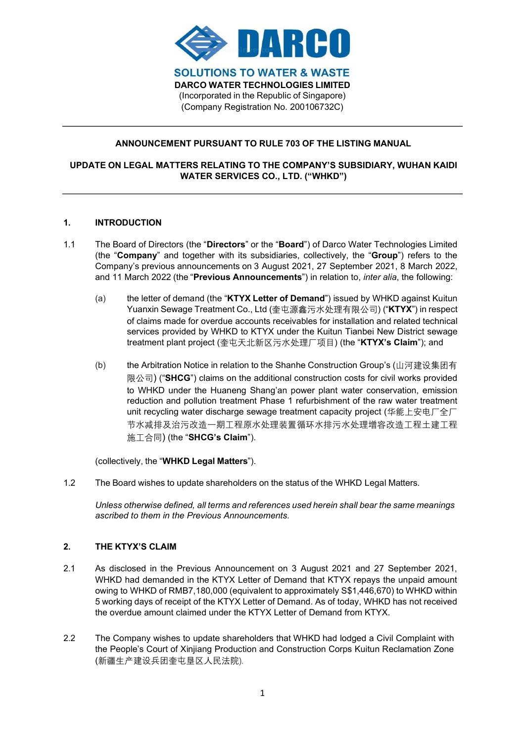

# ANNOUNCEMENT PURSUANT TO RULE 703 OF THE LISTING MANUAL

## UPDATE ON LEGAL MATTERS RELATING TO THE COMPANY'S SUBSIDIARY, WUHAN KAIDI WATER SERVICES CO., LTD. ("WHKD")

## 1. INTRODUCTION

- 1.1 The Board of Directors (the "Directors" or the "Board") of Darco Water Technologies Limited (the "Company" and together with its subsidiaries, collectively, the "Group") refers to the Company's previous announcements on 3 August 2021, 27 September 2021, 8 March 2022, and 11 March 2022 (the "Previous Announcements") in relation to, *inter alia*, the following:
	- (a) the letter of demand (the "KTYX Letter of Demand") issued by WHKD against Kuitun Yuanxin Sewage Treatment Co., Ltd (奎屯源鑫污水处理有限公司) ("KTYX") in respect of claims made for overdue accounts receivables for installation and related technical services provided by WHKD to KTYX under the Kuitun Tianbei New District sewage treatment plant project (奎屯天北新区污水处理厂项目) (the "KTYX's Claim"); and
	- (b) the Arbitration Notice in relation to the Shanhe Construction Group's (山河建设集团有 限公司) ("SHCG") claims on the additional construction costs for civil works provided to WHKD under the Huaneng Shang'an power plant water conservation, emission reduction and pollution treatment Phase 1 refurbishment of the raw water treatment unit recycling water discharge sewage treatment capacity project (华能上安电厂全厂 节水减排及治污改造一期工程原水处理装置循环水排污水处理增容改造工程土建工程 施工合同) (the "SHCG's Claim").

(collectively, the "WHKD Legal Matters").

1.2 The Board wishes to update shareholders on the status of the WHKD Legal Matters.

Unless otherwise defined, all terms and references used herein shall bear the same meanings ascribed to them in the Previous Announcements.

## 2 THE KTYX'S CLAIM

- 2.1 As disclosed in the Previous Announcement on 3 August 2021 and 27 September 2021, WHKD had demanded in the KTYX Letter of Demand that KTYX repays the unpaid amount owing to WHKD of RMB7,180,000 (equivalent to approximately S\$1,446,670) to WHKD within 5 working days of receipt of the KTYX Letter of Demand. As of today, WHKD has not received the overdue amount claimed under the KTYX Letter of Demand from KTYX.
- 2.2 The Company wishes to update shareholders that WHKD had lodged a Civil Complaint with the People's Court of Xinjiang Production and Construction Corps Kuitun Reclamation Zone (新疆生产建设兵团奎屯垦区人民法院).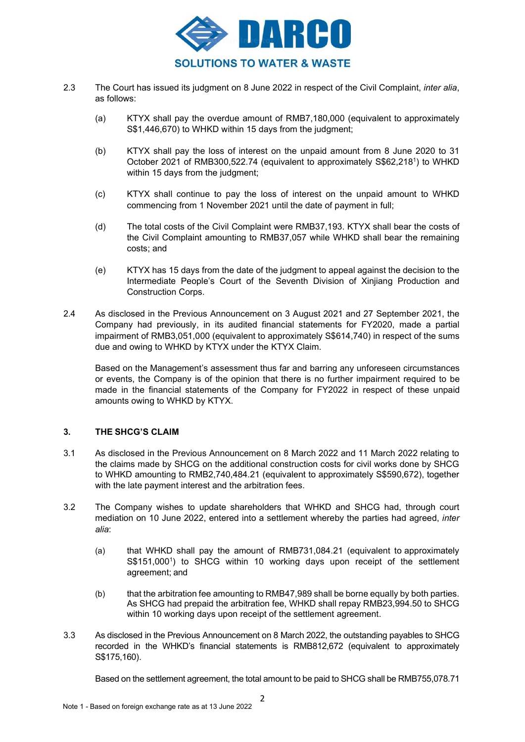

- 2.3 The Court has issued its judgment on 8 June 2022 in respect of the Civil Complaint, *inter alia*, as follows:
	- (a) KTYX shall pay the overdue amount of RMB7,180,000 (equivalent to approximately S\$1,446,670) to WHKD within 15 days from the judgment;
	- (b) KTYX shall pay the loss of interest on the unpaid amount from 8 June 2020 to 31 October 2021 of RMB300,522.74 (equivalent to approximately S\$62,218<sup>1</sup> ) to WHKD within 15 days from the judgment;
	- (c) KTYX shall continue to pay the loss of interest on the unpaid amount to WHKD commencing from 1 November 2021 until the date of payment in full;
	- (d) The total costs of the Civil Complaint were RMB37,193. KTYX shall bear the costs of the Civil Complaint amounting to RMB37,057 while WHKD shall bear the remaining costs; and
	- (e) KTYX has 15 days from the date of the judgment to appeal against the decision to the Intermediate People's Court of the Seventh Division of Xinjiang Production and Construction Corps.
- 2.4 As disclosed in the Previous Announcement on 3 August 2021 and 27 September 2021, the Company had previously, in its audited financial statements for FY2020, made a partial impairment of RMB3,051,000 (equivalent to approximately S\$614,740) in respect of the sums due and owing to WHKD by KTYX under the KTYX Claim.

Based on the Management's assessment thus far and barring any unforeseen circumstances or events, the Company is of the opinion that there is no further impairment required to be made in the financial statements of the Company for FY2022 in respect of these unpaid amounts owing to WHKD by KTYX.

## 3. THE SHCG'S CLAIM

- 3.1 As disclosed in the Previous Announcement on 8 March 2022 and 11 March 2022 relating to the claims made by SHCG on the additional construction costs for civil works done by SHCG to WHKD amounting to RMB2,740,484.21 (equivalent to approximately S\$590,672), together with the late payment interest and the arbitration fees.
- 3.2 The Company wishes to update shareholders that WHKD and SHCG had, through court mediation on 10 June 2022, entered into a settlement whereby the parties had agreed, inter alia:
	- (a) that WHKD shall pay the amount of RMB731,084.21 (equivalent to approximately S\$151,000<sup>1</sup>) to SHCG within 10 working days upon receipt of the settlement agreement; and
	- (b) that the arbitration fee amounting to RMB47,989 shall be borne equally by both parties. As SHCG had prepaid the arbitration fee, WHKD shall repay RMB23,994.50 to SHCG within 10 working days upon receipt of the settlement agreement.
- 3.3 As disclosed in the Previous Announcement on 8 March 2022, the outstanding payables to SHCG recorded in the WHKD's financial statements is RMB812,672 (equivalent to approximately S\$175,160).

Based on the settlement agreement, the total amount to be paid to SHCG shall be RMB755,078.71